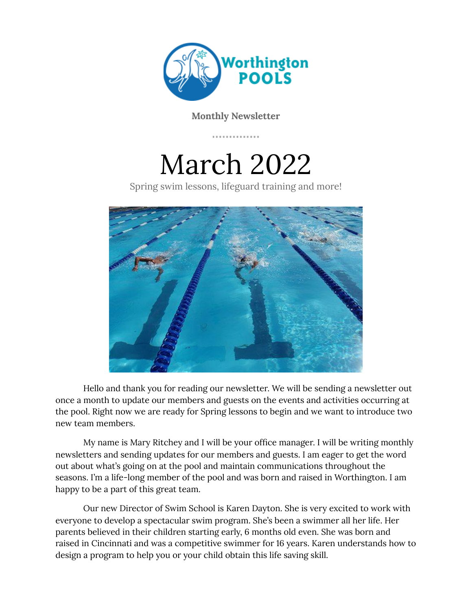

**Monthly Newsletter**

March 2022

Spring swim lessons, lifeguard training and more!



Hello and thank you for reading our newsletter. We will be sending a newsletter out once a month to update our members and guests on the events and activities occurring at the pool. Right now we are ready for Spring lessons to begin and we want to introduce two new team members.

My name is Mary Ritchey and I will be your office manager. I will be writing monthly newsletters and sending updates for our members and guests. I am eager to get the word out about what's going on at the pool and maintain communications throughout the seasons. I'm a life-long member of the pool and was born and raised in Worthington. I am happy to be a part of this great team.

Our new Director of Swim School is Karen Dayton. She is very excited to work with everyone to develop a spectacular swim program. She's been a swimmer all her life. Her parents believed in their children starting early, 6 months old even. She was born and raised in Cincinnati and was a competitive swimmer for 16 years. Karen understands how to design a program to help you or your child obtain this life saving skill.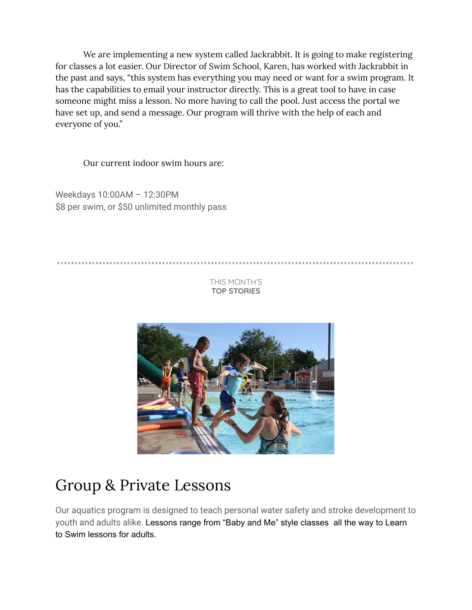We are implementing a new system called Jackrabbit. It is going to make registering for classes a lot easier. Our Director of Swim School, Karen, has worked with Jackrabbit in the past and says, "this system has everything you may need or want for a swim program. It has the capabilities to email your instructor directly. This is a great tool to have in case someone might miss a lesson. No more having to call the pool. Just access the portal we have set up, and send a message. Our program will thrive with the help of each and everyone of you."

Our current indoor swim hours are:

Weekdays 10:00AM – 12:30PM \$8 per swim, or \$50 unlimited monthly pass

THIS MONTH'S **TOP STORIES**



## Group & Private Lessons

Our aquatics program is designed to teach personal water safety and stroke development to youth and adults alike. Lessons range from "Baby and Me" style classes all the way to Learn to Swim lessons for adults.